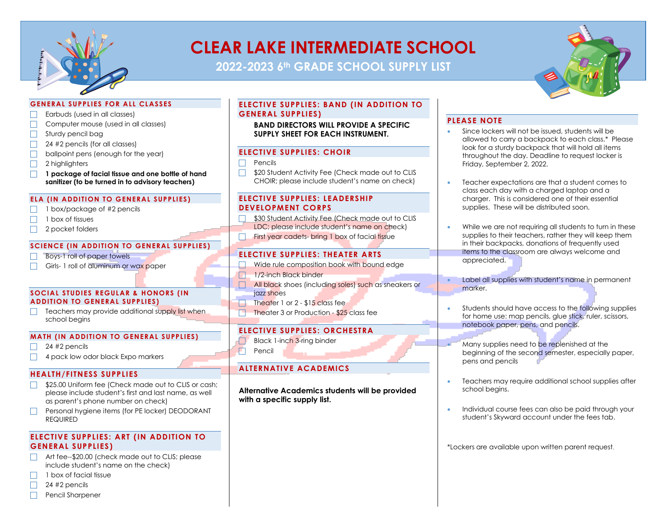

# **CLEAR LAKE INTERMEDIATE SCHOOL**

**2022-2023 6th GRADE SCHOOL SUPPLY LIST**



## **GENERAL SUPPLIES FOR ALL CLASSES**

- Earbuds (used in all classes)
- $\Box$  Computer mouse (used in all classes)
- $\Box$  Sturdy pencil bag
- $\Box$  24 #2 pencils (for all classes)
- $\Box$  ballpoint pens (enough for the year)
- $\Box$  2 highlighters
- **F** 1 package of facial tissue and one bottle of hand **sanitizer (to be turned in to advisory teachers)**

## **ELA (IN ADDITION TO GENERAL SUPPLIES)**

- $\Box$  1 box/package of #2 pencils
- $\Box$  1 box of tissues
- $\Box$  2 pocket folders

## **SCIENCE (IN ADDITION TO GENERAL SUPPLIES)**

- $\Box$  Boys-1 roll of paper towels
- Girls- 1 roll of aluminum or wax paper

#### **SOCIAL STUDIES REGULAR & HONORS (IN ADDITION TO GENERAL SUPPLIES)**

 $\Box$  Teachers may provide additional supply list when school begins

## **MATH (IN ADDITION TO GENERAL SUPPLIES)**

- $\Box$  24 #2 pencils
- $\Box$  4 pack low odor black Expo markers

## **HEALTH/FITNESS SUPPLIES**

- **S25.00 Uniform fee (Check made out to CLIS or cash;** please include student's first and last name, as well as parent's phone number on check)
- $\Box$  Personal hygiene items (for PE locker) DEODORANT REQUIRED

## **ELECTIVE SUPPLIES: ART (IN ADDITION TO GENERAL SUPPLIES)**

- Art fee--\$20.00 (check made out to CLIS; please include student's name on the check)
- $\Box$  1 box of facial tissue
- $\Box$  24 #2 pencils
- $\Box$  Pencil Sharpener

## **ELECTIVE SUPPLIES: BAND (IN ADDITION TO GENERAL SUPPLIES)**

**BAND DIRECTORS WILL PROVIDE A SPECIFIC SUPPLY SHEET FOR EACH INSTRUMENT.**

## **ELECTIVE SUPPLIES: CHOIR**

#### $\Box$  Pencils

**S20 Student Activity Fee (Check made out to CLIS** CHOIR; please include student's name on check)

## **ELECTIVE SUPPLIES: LEADERSHIP DEVELOPMENT CORPS**

- $\Box$  \$30 Student Activity Fee (Check made out to CLIS LDC; please include student's name on check)
- $\Box$  First year cadets- bring 1 box of facial tissue

## **ELECTIVE SUPPLIES: THEATER ARTS**

- Wide rule composition book with bound edge
- $\Box$  1/2-inch Black binder
- F All black shoes (including soles) such as sneakers or jazz shoes
- $\Box$  Theater 1 or 2 \$15 class fee
- $\Box$  Theater 3 or Production \$25 class fee

## **ELECTIVE SUPPLIES: ORCHESTRA**

- Black 1-inch 3-ring binder
- $\Box$  Pencil

# **ALTERNATIVE ACADEMICS**

**Alternative Academics students will be provided with a specific supply list.**

## **PLEASE NOTE**

- Since lockers will not be issued, students will be allowed to carry a backpack to each class.\* Please look for a sturdy backpack that will hold all items throughout the day. Deadline to request locker is Friday, September 2, 2022.
- Teacher expectations are that a student comes to class each day with a charged laptop and a charger. This is considered one of their essential supplies. These will be distributed soon.
- While we are not requiring all students to turn in these supplies to their teachers, rather they will keep them in their backpacks, donations of frequently used items to the classroom are always welcome and appreciated.
- Label all supplies with student's name in permanent marker.
- Students should have access to the following supplies for home use: map pencils, glue stick, ruler, scissors, notebook paper, pens, and pencils.
- Many supplies need to be replenished at the beginning of the second semester, especially paper, pens and pencils
- Teachers may require additional school supplies after school begins.
- Individual course fees can also be paid through your student's Skyward account under the fees tab.

\*Lockers are available upon written parent request.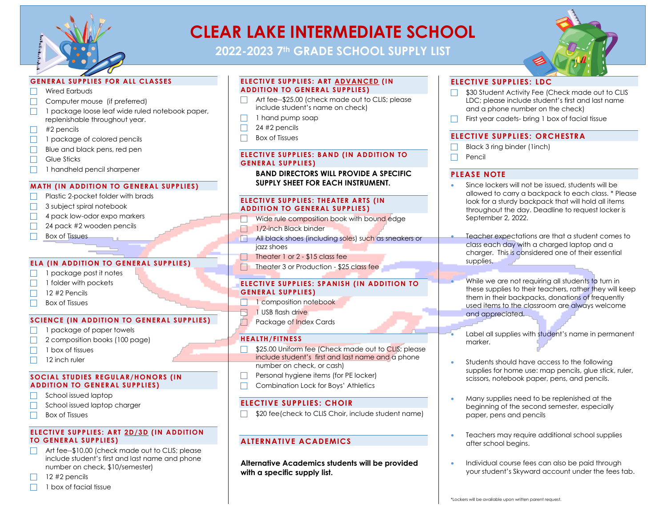

# **CLEAR LAKE INTERMEDIATE SCHOOL**

**2022-2023 7th GRADE SCHOOL SUPPLY LIST**



## **GENERAL SUPPLIES FOR ALL CLASSES**

- $\Box$  Wired Earbuds
- $\Box$  Computer mouse (if preferred)
- 1 package loose leaf wide ruled notebook paper, replenishable throughout year.
- $\Box$  #2 pencils
- $\Box$  1 package of colored pencils
- $\Box$  Blue and black pens, red pen
- $\Box$  Glue Sticks
- 1 handheld pencil sharpener

#### **MATH (IN ADDITION TO GENERAL SUPPLIES)**

- Plastic 2-pocket folder with brads
- $\Box$  3 subject spiral notebook
- $\Box$  4 pack low-odor expo markers
- $\Box$  24 pack #2 wooden pencils
- $\Box$  Box of Tissues

#### **ELA (IN ADDITION TO GENERAL SUPPLIES)**

- 1 package post it notes
- $\Box$  1 folder with pockets
- $\Box$  12 #2 Pencils
- $\Box$  Box of Tissues

#### **SCIENCE (IN ADDITION TO GENERAL SUPPLIES)**

- $\Box$  1 package of paper towels
- $\Box$  2 composition books (100 page)
- $\Box$  1 box of tissues
- $\Box$  12 inch ruler

#### **SOCIAL STUDIES REGULAR/HONORS (IN ADDITION TO GENERAL SUPPLIES)**

- $\Box$  School issued laptop
- $\Box$  School issued laptop charger
- $\Box$  Box of Tissues

### **ELECTIVE SUPPLIES: ART 2D/3D (IN ADDITION TO GENERAL SUPPLIES)**

- $\Box$  Art fee--\$10.00 (check made out to CLIS; please include student's first and last name and phone number on check, \$10/semester)
- 12 #2 pencils
- $\Box$  1 box of facial tissue

#### **ELECTIVE SUPPLIES: ART ADVANCED (IN ADDITION TO GENERAL SUPPLIES)**

- $\Box$  Art fee--\$25.00 (check made out to CLIS; please include student's name on check)
- $\Box$  1 hand pump soap
- $\Box$  24 #2 pencils
- $\Box$  Box of Tissues

#### **ELECTIVE SUPPLIES: BAND (IN ADDITION TO GENERAL SUPPLIES)**

**BAND DIRECTORS WILL PROVIDE A SPECIFIC SUPPLY SHEET FOR EACH INSTRUMENT.**

#### **ELECTIVE SUPPLIES: THEATER ARTS (IN ADDITION TO GENERAL SUPPLIES )**

- $\nabla$  Wide rule composition book with bound edge
- $\Box$  1/2-inch Black binder
- F All black shoes (including soles) such as sneakers or jazz shoes
- $\Box$  Theater 1 or 2 \$15 class fee
- $\Box$  Theater 3 or Production \$25 class fee

#### **ELECTIVE SUPPLIES: SPANISH (IN ADDITION TO GENERAL SUPPLIES)**

- $\Box$  1 composition notebook
- $\Box$  1 USB flash drive
- **F** Package of Index Cards

## **HEALTH/FITNESS**

- **F** \$25.00 Uniform fee (Check made out to CLIS; please include student's first and last name and a phone number on check, or cash)
- $\Box$  Personal hygiene items (for PE locker)
- $\Box$  Combination Lock for Boys' Athletics

## **ELECTIVE SUPPLIES: CHOIR**

 $\Box$  \$20 fee(check to CLIS Choir, include student name)

## **ALTERNATIVE ACADEMICS**

**Alternative Academics students will be provided with a specific supply list.**

## **ELECTIVE SUPPLIES: LDC**

- $\Box$  \$30 Student Activity Fee (Check made out to CLIS LDC; please include student's first and last name and a phone number on the check)
- $\Box$  First year cadets- bring 1 box of facial tissue

## **ELECTIVE SUPPLIES: ORCHESTRA**

- Black 3 ring binder (1inch)
- $\Box$  Pencil

## **PLEASE NOTE**

- Since lockers will not be issued, students will be allowed to carry a backpack to each class. \* Please look for a sturdy backpack that will hold all items throughout the day. Deadline to request locker is September 2, 2022.
	- Teacher expectations are that a student comes to class each day with a charged laptop and a charger. This is considered one of their essential supplies.
	- While we are not requiring all students to turn in these supplies to their teachers, rather they will keep them in their backpacks, donations of frequently used items to the classroom are always welcome and appreciated.
	- Label all supplies with student's name in permanent marker.
- Students should have access to the following supplies for home use: map pencils, glue stick, ruler, scissors, notebook paper, pens, and pencils.
- Many supplies need to be replenished at the beginning of the second semester, especially paper, pens and pencils
- Teachers may require additional school supplies after school begins.
- Individual course fees can also be paid through your student's Skyward account under the fees tab.